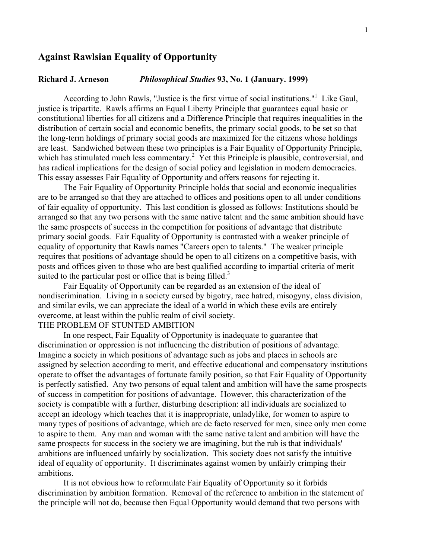# **Against Rawlsian Equality of Opportunity**

### **Richard J. Arneson** *Philosophical Studies* **93, No. 1 (January. 1999)**

According to John Rawls, "Justice is the first virtue of social institutions."<sup>1</sup> Like Gaul, justice is tripartite. Rawls affirms an Equal Liberty Principle that guarantees equal basic or constitutional liberties for all citizens and a Difference Principle that requires inequalities in the distribution of certain social and economic benefits, the primary social goods, to be set so that the long-term holdings of primary social goods are maximized for the citizens whose holdings are least. Sandwiched between these two principles is a Fair Equality of Opportunity Principle, which has stimulated much less commentary.<sup>2</sup> Yet this Principle is plausible, controversial, and has radical implications for the design of social policy and legislation in modern democracies. This essay assesses Fair Equality of Opportunity and offers reasons for rejecting it.

The Fair Equality of Opportunity Principle holds that social and economic inequalities are to be arranged so that they are attached to offices and positions open to all under conditions of fair equality of opportunity. This last condition is glossed as follows: Institutions should be arranged so that any two persons with the same native talent and the same ambition should have the same prospects of success in the competition for positions of advantage that distribute primary social goods. Fair Equality of Opportunity is contrasted with a weaker principle of equality of opportunity that Rawls names "Careers open to talents." The weaker principle requires that positions of advantage should be open to all citizens on a competitive basis, with posts and offices given to those who are best qualified according to impartial criteria of merit suited to the particular post or office that is being filled.<sup>3</sup>

Fair Equality of Opportunity can be regarded as an extension of the ideal of nondiscrimination. Living in a society cursed by bigotry, race hatred, misogyny, class division, and similar evils, we can appreciate the ideal of a world in which these evils are entirely overcome, at least within the public realm of civil society.

# THE PROBLEM OF STUNTED AMBITION

In one respect, Fair Equality of Opportunity is inadequate to guarantee that discrimination or oppression is not influencing the distribution of positions of advantage. Imagine a society in which positions of advantage such as jobs and places in schools are assigned by selection according to merit, and effective educational and compensatory institutions operate to offset the advantages of fortunate family position, so that Fair Equality of Opportunity is perfectly satisfied. Any two persons of equal talent and ambition will have the same prospects of success in competition for positions of advantage. However, this characterization of the society is compatible with a further, disturbing description: all individuals are socialized to accept an ideology which teaches that it is inappropriate, unladylike, for women to aspire to many types of positions of advantage, which are de facto reserved for men, since only men come to aspire to them. Any man and woman with the same native talent and ambition will have the same prospects for success in the society we are imagining, but the rub is that individuals' ambitions are influenced unfairly by socialization. This society does not satisfy the intuitive ideal of equality of opportunity. It discriminates against women by unfairly crimping their ambitions.

It is not obvious how to reformulate Fair Equality of Opportunity so it forbids discrimination by ambition formation. Removal of the reference to ambition in the statement of the principle will not do, because then Equal Opportunity would demand that two persons with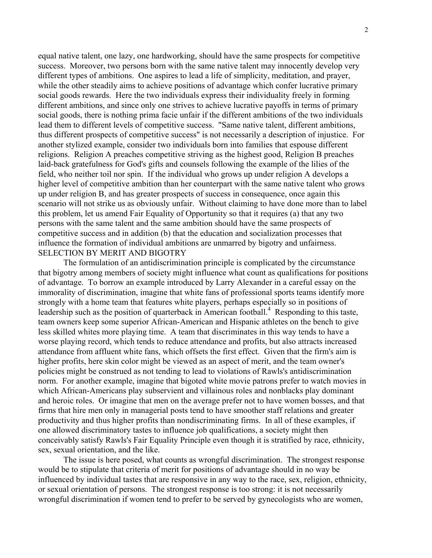equal native talent, one lazy, one hardworking, should have the same prospects for competitive success. Moreover, two persons born with the same native talent may innocently develop very different types of ambitions. One aspires to lead a life of simplicity, meditation, and prayer, while the other steadily aims to achieve positions of advantage which confer lucrative primary social goods rewards. Here the two individuals express their individuality freely in forming different ambitions, and since only one strives to achieve lucrative payoffs in terms of primary social goods, there is nothing prima facie unfair if the different ambitions of the two individuals lead them to different levels of competitive success. "Same native talent, different ambitions, thus different prospects of competitive success" is not necessarily a description of injustice. For another stylized example, consider two individuals born into families that espouse different religions. Religion A preaches competitive striving as the highest good, Religion B preaches laid-back gratefulness for God's gifts and counsels following the example of the lilies of the field, who neither toil nor spin. If the individual who grows up under religion A develops a higher level of competitive ambition than her counterpart with the same native talent who grows up under religion B, and has greater prospects of success in consequence, once again this scenario will not strike us as obviously unfair. Without claiming to have done more than to label this problem, let us amend Fair Equality of Opportunity so that it requires (a) that any two persons with the same talent and the same ambition should have the same prospects of competitive success and in addition (b) that the education and socialization processes that influence the formation of individual ambitions are unmarred by bigotry and unfairness. SELECTION BY MERIT AND BIGOTRY

The formulation of an antidiscrimination principle is complicated by the circumstance that bigotry among members of society might influence what count as qualifications for positions of advantage. To borrow an example introduced by Larry Alexander in a careful essay on the immorality of discrimination, imagine that white fans of professional sports teams identify more strongly with a home team that features white players, perhaps especially so in positions of leadership such as the position of quarterback in American football.<sup>4</sup> Responding to this taste, team owners keep some superior African-American and Hispanic athletes on the bench to give less skilled whites more playing time. A team that discriminates in this way tends to have a worse playing record, which tends to reduce attendance and profits, but also attracts increased attendance from affluent white fans, which offsets the first effect. Given that the firm's aim is higher profits, here skin color might be viewed as an aspect of merit, and the team owner's policies might be construed as not tending to lead to violations of Rawls's antidiscrimination norm. For another example, imagine that bigoted white movie patrons prefer to watch movies in which African-Americans play subservient and villainous roles and nonblacks play dominant and heroic roles. Or imagine that men on the average prefer not to have women bosses, and that firms that hire men only in managerial posts tend to have smoother staff relations and greater productivity and thus higher profits than nondiscriminating firms. In all of these examples, if one allowed discriminatory tastes to influence job qualifications, a society might then conceivably satisfy Rawls's Fair Equality Principle even though it is stratified by race, ethnicity, sex, sexual orientation, and the like.

The issue is here posed, what counts as wrongful discrimination. The strongest response would be to stipulate that criteria of merit for positions of advantage should in no way be influenced by individual tastes that are responsive in any way to the race, sex, religion, ethnicity, or sexual orientation of persons. The strongest response is too strong: it is not necessarily wrongful discrimination if women tend to prefer to be served by gynecologists who are women,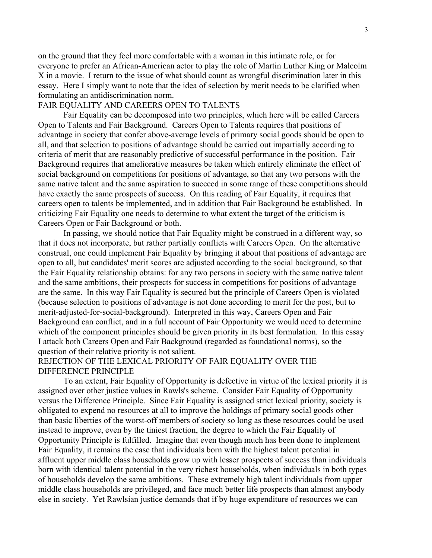on the ground that they feel more comfortable with a woman in this intimate role, or for everyone to prefer an African-American actor to play the role of Martin Luther King or Malcolm X in a movie. I return to the issue of what should count as wrongful discrimination later in this essay. Here I simply want to note that the idea of selection by merit needs to be clarified when formulating an antidiscrimination norm.

## FAIR EQUALITY AND CAREERS OPEN TO TALENTS

Fair Equality can be decomposed into two principles, which here will be called Careers Open to Talents and Fair Background. Careers Open to Talents requires that positions of advantage in society that confer above-average levels of primary social goods should be open to all, and that selection to positions of advantage should be carried out impartially according to criteria of merit that are reasonably predictive of successful performance in the position. Fair Background requires that ameliorative measures be taken which entirely eliminate the effect of social background on competitions for positions of advantage, so that any two persons with the same native talent and the same aspiration to succeed in some range of these competitions should have exactly the same prospects of success. On this reading of Fair Equality, it requires that careers open to talents be implemented, and in addition that Fair Background be established. In criticizing Fair Equality one needs to determine to what extent the target of the criticism is Careers Open or Fair Background or both.

In passing, we should notice that Fair Equality might be construed in a different way, so that it does not incorporate, but rather partially conflicts with Careers Open. On the alternative construal, one could implement Fair Equality by bringing it about that positions of advantage are open to all, but candidates' merit scores are adjusted according to the social background, so that the Fair Equality relationship obtains: for any two persons in society with the same native talent and the same ambitions, their prospects for success in competitions for positions of advantage are the same. In this way Fair Equality is secured but the principle of Careers Open is violated (because selection to positions of advantage is not done according to merit for the post, but to merit-adjusted-for-social-background). Interpreted in this way, Careers Open and Fair Background can conflict, and in a full account of Fair Opportunity we would need to determine which of the component principles should be given priority in its best formulation. In this essay I attack both Careers Open and Fair Background (regarded as foundational norms), so the question of their relative priority is not salient.

# REJECTION OF THE LEXICAL PRIORITY OF FAIR EQUALITY OVER THE DIFFERENCE PRINCIPLE

To an extent, Fair Equality of Opportunity is defective in virtue of the lexical priority it is assigned over other justice values in Rawls's scheme. Consider Fair Equality of Opportunity versus the Difference Principle. Since Fair Equality is assigned strict lexical priority, society is obligated to expend no resources at all to improve the holdings of primary social goods other than basic liberties of the worst-off members of society so long as these resources could be used instead to improve, even by the tiniest fraction, the degree to which the Fair Equality of Opportunity Principle is fulfilled. Imagine that even though much has been done to implement Fair Equality, it remains the case that individuals born with the highest talent potential in affluent upper middle class households grow up with lesser prospects of success than individuals born with identical talent potential in the very richest households, when individuals in both types of households develop the same ambitions. These extremely high talent individuals from upper middle class households are privileged, and face much better life prospects than almost anybody else in society. Yet Rawlsian justice demands that if by huge expenditure of resources we can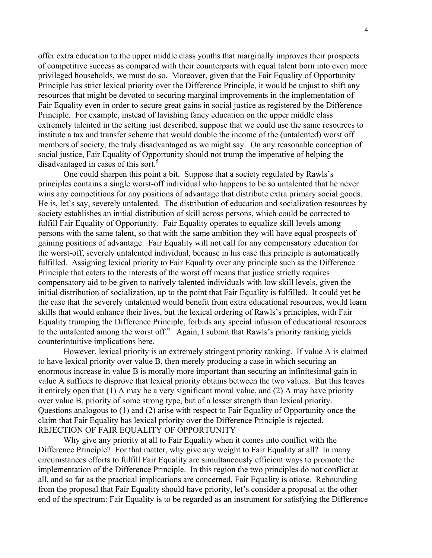offer extra education to the upper middle class youths that marginally improves their prospects of competitive success as compared with their counterparts with equal talent born into even more privileged households, we must do so. Moreover, given that the Fair Equality of Opportunity Principle has strict lexical priority over the Difference Principle, it would be unjust to shift any resources that might be devoted to securing marginal improvements in the implementation of Fair Equality even in order to secure great gains in social justice as registered by the Difference Principle. For example, instead of lavishing fancy education on the upper middle class extremely talented in the setting just described, suppose that we could use the same resources to institute a tax and transfer scheme that would double the income of the (untalented) worst off members of society, the truly disadvantaged as we might say. On any reasonable conception of social justice, Fair Equality of Opportunity should not trump the imperative of helping the disadvantaged in cases of this sort.<sup>5</sup>

One could sharpen this point a bit. Suppose that a society regulated by Rawls's principles contains a single worst-off individual who happens to be so untalented that he never wins any competitions for any positions of advantage that distribute extra primary social goods. He is, let's say, severely untalented. The distribution of education and socialization resources by society establishes an initial distribution of skill across persons, which could be corrected to fulfill Fair Equality of Opportunity. Fair Equality operates to equalize skill levels among persons with the same talent, so that with the same ambition they will have equal prospects of gaining positions of advantage. Fair Equality will not call for any compensatory education for the worst-off, severely untalented individual, because in his case this principle is automatically fulfilled. Assigning lexical priority to Fair Equality over any principle such as the Difference Principle that caters to the interests of the worst off means that justice strictly requires compensatory aid to be given to natively talented individuals with low skill levels, given the initial distribution of socialization, up to the point that Fair Equality is fulfilled. It could yet be the case that the severely untalented would benefit from extra educational resources, would learn skills that would enhance their lives, but the lexical ordering of Rawls's principles, with Fair Equality trumping the Difference Principle, forbids any special infusion of educational resources to the untalented among the worst off.<sup>6</sup> Again, I submit that Rawls's priority ranking yields counterintuitive implications here.

However, lexical priority is an extremely stringent priority ranking. If value A is claimed to have lexical priority over value B, then merely producing a case in which securing an enormous increase in value B is morally more important than securing an infinitesimal gain in value A suffices to disprove that lexical priority obtains between the two values. But this leaves it entirely open that (1) A may be a very significant moral value, and (2) A may have priority over value B, priority of some strong type, but of a lesser strength than lexical priority. Questions analogous to (1) and (2) arise with respect to Fair Equality of Opportunity once the claim that Fair Equality has lexical priority over the Difference Principle is rejected. REJECTION OF FAIR EQUALITY OF OPPORTUNITY

Why give any priority at all to Fair Equality when it comes into conflict with the Difference Principle? For that matter, why give any weight to Fair Equality at all? In many circumstances efforts to fulfill Fair Equality are simultaneously efficient ways to promote the implementation of the Difference Principle. In this region the two principles do not conflict at all, and so far as the practical implications are concerned, Fair Equality is otiose. Rebounding from the proposal that Fair Equality should have priority, let's consider a proposal at the other end of the spectrum: Fair Equality is to be regarded as an instrument for satisfying the Difference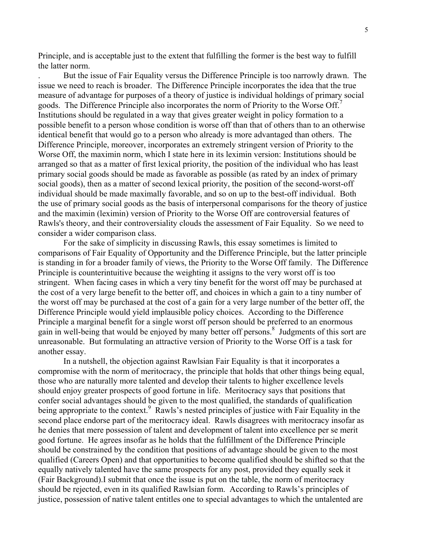Principle, and is acceptable just to the extent that fulfilling the former is the best way to fulfill the latter norm.

. But the issue of Fair Equality versus the Difference Principle is too narrowly drawn. The issue we need to reach is broader. The Difference Principle incorporates the idea that the true measure of advantage for purposes of a theory of justice is individual holdings of primary social goods. The Difference Principle also incorporates the norm of Priority to the Worse Off.<sup>7</sup> Institutions should be regulated in a way that gives greater weight in policy formation to a possible benefit to a person whose condition is worse off than that of others than to an otherwise identical benefit that would go to a person who already is more advantaged than others. The Difference Principle, moreover, incorporates an extremely stringent version of Priority to the Worse Off, the maximin norm, which I state here in its leximin version: Institutions should be arranged so that as a matter of first lexical priority, the position of the individual who has least primary social goods should be made as favorable as possible (as rated by an index of primary social goods), then as a matter of second lexical priority, the position of the second-worst-off individual should be made maximally favorable, and so on up to the best-off individual. Both the use of primary social goods as the basis of interpersonal comparisons for the theory of justice and the maximin (leximin) version of Priority to the Worse Off are controversial features of Rawls's theory, and their controversiality clouds the assessment of Fair Equality. So we need to consider a wider comparison class.

For the sake of simplicity in discussing Rawls, this essay sometimes is limited to comparisons of Fair Equality of Opportunity and the Difference Principle, but the latter principle is standing in for a broader family of views, the Priority to the Worse Off family. The Difference Principle is counterintuitive because the weighting it assigns to the very worst off is too stringent. When facing cases in which a very tiny benefit for the worst off may be purchased at the cost of a very large benefit to the better off, and choices in which a gain to a tiny number of the worst off may be purchased at the cost of a gain for a very large number of the better off, the Difference Principle would yield implausible policy choices. According to the Difference Principle a marginal benefit for a single worst off person should be preferred to an enormous gain in well-being that would be enjoyed by many better off persons.<sup>8</sup> Judgments of this sort are unreasonable. But formulating an attractive version of Priority to the Worse Off is a task for another essay.

In a nutshell, the objection against Rawlsian Fair Equality is that it incorporates a compromise with the norm of meritocracy, the principle that holds that other things being equal, those who are naturally more talented and develop their talents to higher excellence levels should enjoy greater prospects of good fortune in life. Meritocracy says that positions that confer social advantages should be given to the most qualified, the standards of qualification being appropriate to the context.<sup>9</sup> Rawls's nested principles of justice with Fair Equality in the second place endorse part of the meritocracy ideal. Rawls disagrees with meritocracy insofar as he denies that mere possession of talent and development of talent into excellence per se merit good fortune. He agrees insofar as he holds that the fulfillment of the Difference Principle should be constrained by the condition that positions of advantage should be given to the most qualified (Careers Open) and that opportunities to become qualified should be shifted so that the equally natively talented have the same prospects for any post, provided they equally seek it (Fair Background).I submit that once the issue is put on the table, the norm of meritocracy should be rejected, even in its qualified Rawlsian form. According to Rawls's principles of justice, possession of native talent entitles one to special advantages to which the untalented are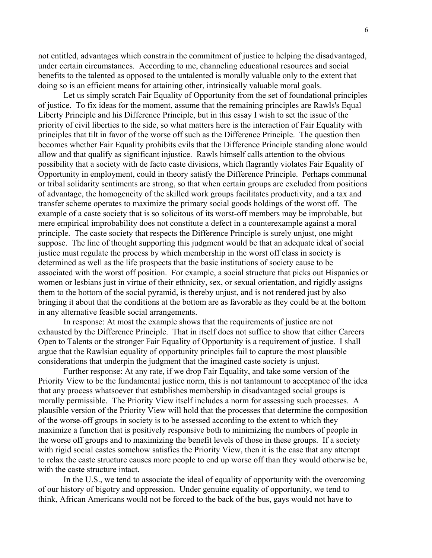not entitled, advantages which constrain the commitment of justice to helping the disadvantaged, under certain circumstances. According to me, channeling educational resources and social benefits to the talented as opposed to the untalented is morally valuable only to the extent that doing so is an efficient means for attaining other, intrinsically valuable moral goals.

Let us simply scratch Fair Equality of Opportunity from the set of foundational principles of justice. To fix ideas for the moment, assume that the remaining principles are Rawls's Equal Liberty Principle and his Difference Principle, but in this essay I wish to set the issue of the priority of civil liberties to the side, so what matters here is the interaction of Fair Equality with principles that tilt in favor of the worse off such as the Difference Principle. The question then becomes whether Fair Equality prohibits evils that the Difference Principle standing alone would allow and that qualify as significant injustice. Rawls himself calls attention to the obvious possibility that a society with de facto caste divisions, which flagrantly violates Fair Equality of Opportunity in employment, could in theory satisfy the Difference Principle. Perhaps communal or tribal solidarity sentiments are strong, so that when certain groups are excluded from positions of advantage, the homogeneity of the skilled work groups facilitates productivity, and a tax and transfer scheme operates to maximize the primary social goods holdings of the worst off. The example of a caste society that is so solicitous of its worst-off members may be improbable, but mere empirical improbability does not constitute a defect in a counterexample against a moral principle. The caste society that respects the Difference Principle is surely unjust, one might suppose. The line of thought supporting this judgment would be that an adequate ideal of social justice must regulate the process by which membership in the worst off class in society is determined as well as the life prospects that the basic institutions of society cause to be associated with the worst off position. For example, a social structure that picks out Hispanics or women or lesbians just in virtue of their ethnicity, sex, or sexual orientation, and rigidly assigns them to the bottom of the social pyramid, is thereby unjust, and is not rendered just by also bringing it about that the conditions at the bottom are as favorable as they could be at the bottom in any alternative feasible social arrangements.

In response: At most the example shows that the requirements of justice are not exhausted by the Difference Principle. That in itself does not suffice to show that either Careers Open to Talents or the stronger Fair Equality of Opportunity is a requirement of justice. I shall argue that the Rawlsian equality of opportunity principles fail to capture the most plausible considerations that underpin the judgment that the imagined caste society is unjust.

Further response: At any rate, if we drop Fair Equality, and take some version of the Priority View to be the fundamental justice norm, this is not tantamount to acceptance of the idea that any process whatsoever that establishes membership in disadvantaged social groups is morally permissible. The Priority View itself includes a norm for assessing such processes. A plausible version of the Priority View will hold that the processes that determine the composition of the worse-off groups in society is to be assessed according to the extent to which they maximize a function that is positively responsive both to minimizing the numbers of people in the worse off groups and to maximizing the benefit levels of those in these groups. If a society with rigid social castes somehow satisfies the Priority View, then it is the case that any attempt to relax the caste structure causes more people to end up worse off than they would otherwise be, with the caste structure intact.

In the U.S., we tend to associate the ideal of equality of opportunity with the overcoming of our history of bigotry and oppression. Under genuine equality of opportunity, we tend to think, African Americans would not be forced to the back of the bus, gays would not have to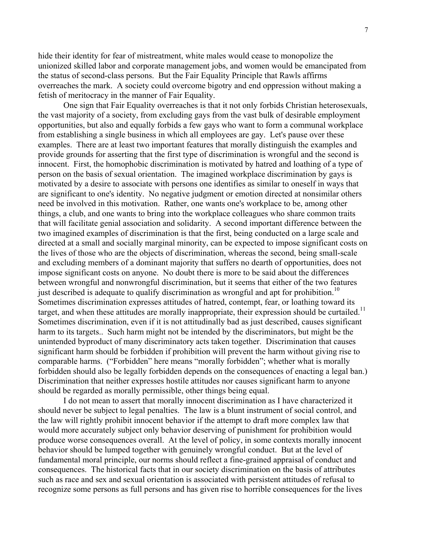hide their identity for fear of mistreatment, white males would cease to monopolize the unionized skilled labor and corporate management jobs, and women would be emancipated from the status of second-class persons. But the Fair Equality Principle that Rawls affirms overreaches the mark. A society could overcome bigotry and end oppression without making a fetish of meritocracy in the manner of Fair Equality.

One sign that Fair Equality overreaches is that it not only forbids Christian heterosexuals, the vast majority of a society, from excluding gays from the vast bulk of desirable employment opportunities, but also and equally forbids a few gays who want to form a communal workplace from establishing a single business in which all employees are gay. Let's pause over these examples. There are at least two important features that morally distinguish the examples and provide grounds for asserting that the first type of discrimination is wrongful and the second is innocent. First, the homophobic discrimination is motivated by hatred and loathing of a type of person on the basis of sexual orientation. The imagined workplace discrimination by gays is motivated by a desire to associate with persons one identifies as similar to oneself in ways that are significant to one's identity. No negative judgment or emotion directed at nonsimilar others need be involved in this motivation. Rather, one wants one's workplace to be, among other things, a club, and one wants to bring into the workplace colleagues who share common traits that will facilitate genial association and solidarity. A second important difference between the two imagined examples of discrimination is that the first, being conducted on a large scale and directed at a small and socially marginal minority, can be expected to impose significant costs on the lives of those who are the objects of discrimination, whereas the second, being small-scale and excluding members of a dominant majority that suffers no dearth of opportunities, does not impose significant costs on anyone. No doubt there is more to be said about the differences between wrongful and nonwrongful discrimination, but it seems that either of the two features just described is adequate to qualify discrimination as wrongful and apt for prohibition.<sup>10</sup> Sometimes discrimination expresses attitudes of hatred, contempt, fear, or loathing toward its target, and when these attitudes are morally inappropriate, their expression should be curtailed.<sup>11</sup> Sometimes discrimination, even if it is not attitudinally bad as just described, causes significant harm to its targets.. Such harm might not be intended by the discriminators, but might be the unintended byproduct of many discriminatory acts taken together. Discrimination that causes significant harm should be forbidden if prohibition will prevent the harm without giving rise to comparable harms. ("Forbidden" here means "morally forbidden"; whether what is morally forbidden should also be legally forbidden depends on the consequences of enacting a legal ban.) Discrimination that neither expresses hostile attitudes nor causes significant harm to anyone should be regarded as morally permissible, other things being equal.

I do not mean to assert that morally innocent discrimination as I have characterized it should never be subject to legal penalties. The law is a blunt instrument of social control, and the law will rightly prohibit innocent behavior if the attempt to draft more complex law that would more accurately subject only behavior deserving of punishment for prohibition would produce worse consequences overall. At the level of policy, in some contexts morally innocent behavior should be lumped together with genuinely wrongful conduct. But at the level of fundamental moral principle, our norms should reflect a fine-grained appraisal of conduct and consequences. The historical facts that in our society discrimination on the basis of attributes such as race and sex and sexual orientation is associated with persistent attitudes of refusal to recognize some persons as full persons and has given rise to horrible consequences for the lives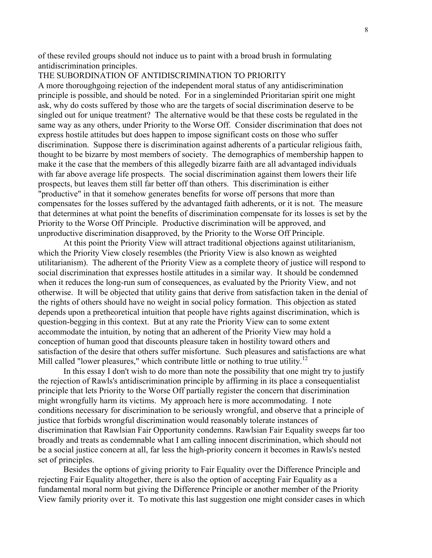of these reviled groups should not induce us to paint with a broad brush in formulating antidiscrimination principles.

### THE SUBORDINATION OF ANTIDISCRIMINATION TO PRIORITY

A more thoroughgoing rejection of the independent moral status of any antidiscrimination principle is possible, and should be noted. For in a singleminded Prioritarian spirit one might ask, why do costs suffered by those who are the targets of social discrimination deserve to be singled out for unique treatment? The alternative would be that these costs be regulated in the same way as any others, under Priority to the Worse Off. Consider discrimination that does not express hostile attitudes but does happen to impose significant costs on those who suffer discrimination. Suppose there is discrimination against adherents of a particular religious faith, thought to be bizarre by most members of society. The demographics of membership happen to make it the case that the members of this allegedly bizarre faith are all advantaged individuals with far above average life prospects. The social discrimination against them lowers their life prospects, but leaves them still far better off than others. This discrimination is either "productive" in that it somehow generates benefits for worse off persons that more than compensates for the losses suffered by the advantaged faith adherents, or it is not. The measure that determines at what point the benefits of discrimination compensate for its losses is set by the Priority to the Worse Off Principle. Productive discrimination will be approved, and unproductive discrimination disapproved, by the Priority to the Worse Off Principle.

At this point the Priority View will attract traditional objections against utilitarianism, which the Priority View closely resembles (the Priority View is also known as weighted utilitarianism). The adherent of the Priority View as a complete theory of justice will respond to social discrimination that expresses hostile attitudes in a similar way. It should be condemned when it reduces the long-run sum of consequences, as evaluated by the Priority View, and not otherwise. It will be objected that utility gains that derive from satisfaction taken in the denial of the rights of others should have no weight in social policy formation. This objection as stated depends upon a pretheoretical intuition that people have rights against discrimination, which is question-begging in this context. But at any rate the Priority View can to some extent accommodate the intuition, by noting that an adherent of the Priority View may hold a conception of human good that discounts pleasure taken in hostility toward others and satisfaction of the desire that others suffer misfortune. Such pleasures and satisfactions are what Mill called "lower pleasures," which contribute little or nothing to true utility.<sup>12</sup>

In this essay I don't wish to do more than note the possibility that one might try to justify the rejection of Rawls's antidiscrimination principle by affirming in its place a consequentialist principle that lets Priority to the Worse Off partially register the concern that discrimination might wrongfully harm its victims. My approach here is more accommodating. I note conditions necessary for discrimination to be seriously wrongful, and observe that a principle of justice that forbids wrongful discrimination would reasonably tolerate instances of discrimination that Rawlsian Fair Opportunity condemns. Rawlsian Fair Equality sweeps far too broadly and treats as condemnable what I am calling innocent discrimination, which should not be a social justice concern at all, far less the high-priority concern it becomes in Rawls's nested set of principles.

Besides the options of giving priority to Fair Equality over the Difference Principle and rejecting Fair Equality altogether, there is also the option of accepting Fair Equality as a fundamental moral norm but giving the Difference Principle or another member of the Priority View family priority over it. To motivate this last suggestion one might consider cases in which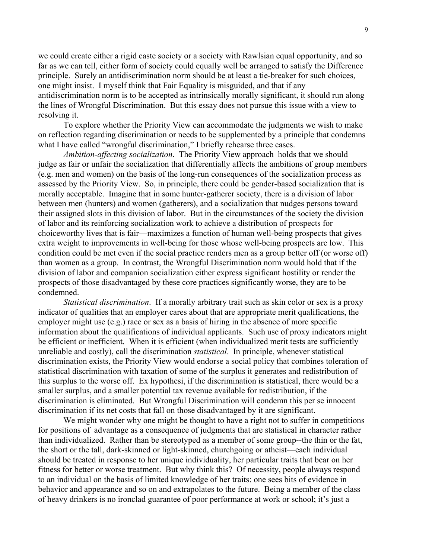we could create either a rigid caste society or a society with Rawlsian equal opportunity, and so far as we can tell, either form of society could equally well be arranged to satisfy the Difference principle. Surely an antidiscrimination norm should be at least a tie-breaker for such choices, one might insist. I myself think that Fair Equality is misguided, and that if any antidiscrimination norm is to be accepted as intrinsically morally significant, it should run along the lines of Wrongful Discrimination. But this essay does not pursue this issue with a view to resolving it.

To explore whether the Priority View can accommodate the judgments we wish to make on reflection regarding discrimination or needs to be supplemented by a principle that condemns what I have called "wrongful discrimination," I briefly rehearse three cases.

*Ambition-affecting socialization*. The Priority View approach holds that we should judge as fair or unfair the socialization that differentially affects the ambitions of group members (e.g. men and women) on the basis of the long-run consequences of the socialization process as assessed by the Priority View. So, in principle, there could be gender-based socialization that is morally acceptable. Imagine that in some hunter-gatherer society, there is a division of labor between men (hunters) and women (gatherers), and a socialization that nudges persons toward their assigned slots in this division of labor. But in the circumstances of the society the division of labor and its reinforcing socialization work to achieve a distribution of prospects for choiceworthy lives that is fair—maximizes a function of human well-being prospects that gives extra weight to improvements in well-being for those whose well-being prospects are low. This condition could be met even if the social practice renders men as a group better off (or worse off) than women as a group. In contrast, the Wrongful Discrimination norm would hold that if the division of labor and companion socialization either express significant hostility or render the prospects of those disadvantaged by these core practices significantly worse, they are to be condemned.

*Statistical discrimination*. If a morally arbitrary trait such as skin color or sex is a proxy indicator of qualities that an employer cares about that are appropriate merit qualifications, the employer might use (e.g.) race or sex as a basis of hiring in the absence of more specific information about the qualifications of individual applicants. Such use of proxy indicators might be efficient or inefficient. When it is efficient (when individualized merit tests are sufficiently unreliable and costly), call the discrimination *statistical*. In principle, whenever statistical discrimination exists, the Priority View would endorse a social policy that combines toleration of statistical discrimination with taxation of some of the surplus it generates and redistribution of this surplus to the worse off. Ex hypothesi, if the discrimination is statistical, there would be a smaller surplus, and a smaller potential tax revenue available for redistribution, if the discrimination is eliminated. But Wrongful Discrimination will condemn this per se innocent discrimination if its net costs that fall on those disadvantaged by it are significant.

We might wonder why one might be thought to have a right not to suffer in competitions for positions of advantage as a consequence of judgments that are statistical in character rather than individualized. Rather than be stereotyped as a member of some group--the thin or the fat, the short or the tall, dark-skinned or light-skinned, churchgoing or atheist—each individual should be treated in response to her unique individuality, her particular traits that bear on her fitness for better or worse treatment. But why think this? Of necessity, people always respond to an individual on the basis of limited knowledge of her traits: one sees bits of evidence in behavior and appearance and so on and extrapolates to the future. Being a member of the class of heavy drinkers is no ironclad guarantee of poor performance at work or school; it's just a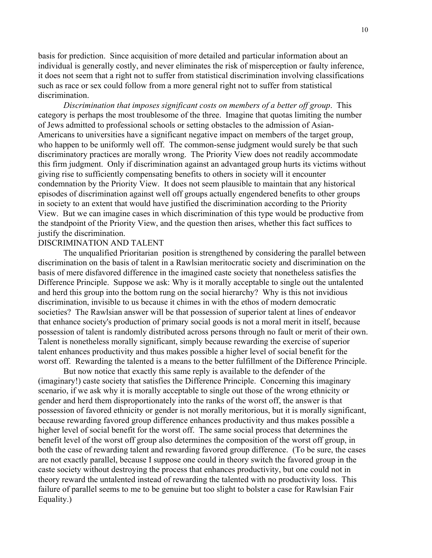basis for prediction. Since acquisition of more detailed and particular information about an individual is generally costly, and never eliminates the risk of misperception or faulty inference, it does not seem that a right not to suffer from statistical discrimination involving classifications such as race or sex could follow from a more general right not to suffer from statistical discrimination.

*Discrimination that imposes significant costs on members of a better off group*. This category is perhaps the most troublesome of the three. Imagine that quotas limiting the number of Jews admitted to professional schools or setting obstacles to the admission of Asian-Americans to universities have a significant negative impact on members of the target group, who happen to be uniformly well off. The common-sense judgment would surely be that such discriminatory practices are morally wrong. The Priority View does not readily accommodate this firm judgment. Only if discrimination against an advantaged group hurts its victims without giving rise to sufficiently compensating benefits to others in society will it encounter condemnation by the Priority View. It does not seem plausible to maintain that any historical episodes of discrimination against well off groups actually engendered benefits to other groups in society to an extent that would have justified the discrimination according to the Priority View. But we can imagine cases in which discrimination of this type would be productive from the standpoint of the Priority View, and the question then arises, whether this fact suffices to justify the discrimination.

#### DISCRIMINATION AND TALENT

The unqualified Prioritarian position is strengthened by considering the parallel between discrimination on the basis of talent in a Rawlsian meritocratic society and discrimination on the basis of mere disfavored difference in the imagined caste society that nonetheless satisfies the Difference Principle. Suppose we ask: Why is it morally acceptable to single out the untalented and herd this group into the bottom rung on the social hierarchy? Why is this not invidious discrimination, invisible to us because it chimes in with the ethos of modern democratic societies? The Rawlsian answer will be that possession of superior talent at lines of endeavor that enhance society's production of primary social goods is not a moral merit in itself, because possession of talent is randomly distributed across persons through no fault or merit of their own. Talent is nonetheless morally significant, simply because rewarding the exercise of superior talent enhances productivity and thus makes possible a higher level of social benefit for the worst off. Rewarding the talented is a means to the better fulfillment of the Difference Principle.

But now notice that exactly this same reply is available to the defender of the (imaginary!) caste society that satisfies the Difference Principle. Concerning this imaginary scenario, if we ask why it is morally acceptable to single out those of the wrong ethnicity or gender and herd them disproportionately into the ranks of the worst off, the answer is that possession of favored ethnicity or gender is not morally meritorious, but it is morally significant, because rewarding favored group difference enhances productivity and thus makes possible a higher level of social benefit for the worst off. The same social process that determines the benefit level of the worst off group also determines the composition of the worst off group, in both the case of rewarding talent and rewarding favored group difference. (To be sure, the cases are not exactly parallel, because I suppose one could in theory switch the favored group in the caste society without destroying the process that enhances productivity, but one could not in theory reward the untalented instead of rewarding the talented with no productivity loss. This failure of parallel seems to me to be genuine but too slight to bolster a case for Rawlsian Fair Equality.)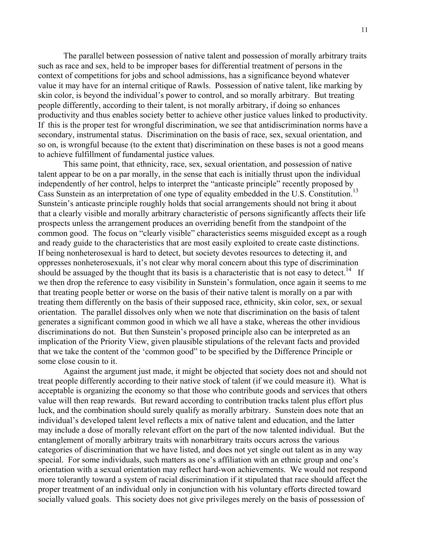The parallel between possession of native talent and possession of morally arbitrary traits such as race and sex, held to be improper bases for differential treatment of persons in the context of competitions for jobs and school admissions, has a significance beyond whatever value it may have for an internal critique of Rawls. Possession of native talent, like marking by skin color, is beyond the individual's power to control, and so morally arbitrary. But treating people differently, according to their talent, is not morally arbitrary, if doing so enhances productivity and thus enables society better to achieve other justice values linked to productivity. If this is the proper test for wrongful discrimination, we see that antidiscrimination norms have a secondary, instrumental status. Discrimination on the basis of race, sex, sexual orientation, and so on, is wrongful because (to the extent that) discrimination on these bases is not a good means to achieve fulfillment of fundamental justice values.

This same point, that ethnicity, race, sex, sexual orientation, and possession of native talent appear to be on a par morally, in the sense that each is initially thrust upon the individual independently of her control, helps to interpret the "anticaste principle" recently proposed by Cass Sunstein as an interpretation of one type of equality embedded in the U.S. Constitution.<sup>13</sup> Sunstein's anticaste principle roughly holds that social arrangements should not bring it about that a clearly visible and morally arbitrary characteristic of persons significantly affects their life prospects unless the arrangement produces an overriding benefit from the standpoint of the common good. The focus on "clearly visible" characteristics seems misguided except as a rough and ready guide to the characteristics that are most easily exploited to create caste distinctions. If being nonheterosexual is hard to detect, but society devotes resources to detecting it, and oppresses nonheterosexuals, it's not clear why moral concern about this type of discrimination should be assuaged by the thought that its basis is a characteristic that is not easy to detect.<sup>14</sup> If we then drop the reference to easy visibility in Sunstein's formulation, once again it seems to me that treating people better or worse on the basis of their native talent is morally on a par with treating them differently on the basis of their supposed race, ethnicity, skin color, sex, or sexual orientation. The parallel dissolves only when we note that discrimination on the basis of talent generates a significant common good in which we all have a stake, whereas the other invidious discriminations do not. But then Sunstein's proposed principle also can be interpreted as an implication of the Priority View, given plausible stipulations of the relevant facts and provided that we take the content of the 'common good" to be specified by the Difference Principle or some close cousin to it.

Against the argument just made, it might be objected that society does not and should not treat people differently according to their native stock of talent (if we could measure it). What is acceptable is organizing the economy so that those who contribute goods and services that others value will then reap rewards. But reward according to contribution tracks talent plus effort plus luck, and the combination should surely qualify as morally arbitrary. Sunstein does note that an individual's developed talent level reflects a mix of native talent and education, and the latter may include a dose of morally relevant effort on the part of the now talented individual. But the entanglement of morally arbitrary traits with nonarbitrary traits occurs across the various categories of discrimination that we have listed, and does not yet single out talent as in any way special. For some individuals, such matters as one's affiliation with an ethnic group and one's orientation with a sexual orientation may reflect hard-won achievements. We would not respond more tolerantly toward a system of racial discrimination if it stipulated that race should affect the proper treatment of an individual only in conjunction with his voluntary efforts directed toward socially valued goals. This society does not give privileges merely on the basis of possession of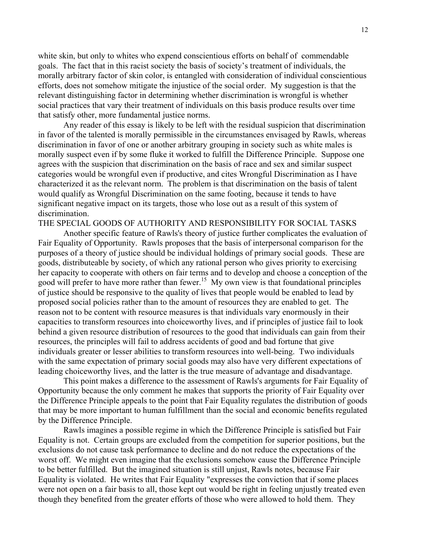white skin, but only to whites who expend conscientious efforts on behalf of commendable goals. The fact that in this racist society the basis of society's treatment of individuals, the morally arbitrary factor of skin color, is entangled with consideration of individual conscientious efforts, does not somehow mitigate the injustice of the social order. My suggestion is that the relevant distinguishing factor in determining whether discrimination is wrongful is whether social practices that vary their treatment of individuals on this basis produce results over time that satisfy other, more fundamental justice norms.

Any reader of this essay is likely to be left with the residual suspicion that discrimination in favor of the talented is morally permissible in the circumstances envisaged by Rawls, whereas discrimination in favor of one or another arbitrary grouping in society such as white males is morally suspect even if by some fluke it worked to fulfill the Difference Principle. Suppose one agrees with the suspicion that discrimination on the basis of race and sex and similar suspect categories would be wrongful even if productive, and cites Wrongful Discrimination as I have characterized it as the relevant norm. The problem is that discrimination on the basis of talent would qualify as Wrongful Discrimination on the same footing, because it tends to have significant negative impact on its targets, those who lose out as a result of this system of discrimination.

THE SPECIAL GOODS OF AUTHORITY AND RESPONSIBILITY FOR SOCIAL TASKS

Another specific feature of Rawls's theory of justice further complicates the evaluation of Fair Equality of Opportunity. Rawls proposes that the basis of interpersonal comparison for the purposes of a theory of justice should be individual holdings of primary social goods. These are goods, distributeable by society, of which any rational person who gives priority to exercising her capacity to cooperate with others on fair terms and to develop and choose a conception of the good will prefer to have more rather than fewer.<sup>15</sup> My own view is that foundational principles of justice should be responsive to the quality of lives that people would be enabled to lead by proposed social policies rather than to the amount of resources they are enabled to get. The reason not to be content with resource measures is that individuals vary enormously in their capacities to transform resources into choiceworthy lives, and if principles of justice fail to look behind a given resource distribution of resources to the good that individuals can gain from their resources, the principles will fail to address accidents of good and bad fortune that give individuals greater or lesser abilities to transform resources into well-being. Two individuals with the same expectation of primary social goods may also have very different expectations of leading choiceworthy lives, and the latter is the true measure of advantage and disadvantage.

This point makes a difference to the assessment of Rawls's arguments for Fair Equality of Opportunity because the only comment he makes that supports the priority of Fair Equality over the Difference Principle appeals to the point that Fair Equality regulates the distribution of goods that may be more important to human fulfillment than the social and economic benefits regulated by the Difference Principle.

Rawls imagines a possible regime in which the Difference Principle is satisfied but Fair Equality is not. Certain groups are excluded from the competition for superior positions, but the exclusions do not cause task performance to decline and do not reduce the expectations of the worst off. We might even imagine that the exclusions somehow cause the Difference Principle to be better fulfilled. But the imagined situation is still unjust, Rawls notes, because Fair Equality is violated. He writes that Fair Equality "expresses the conviction that if some places were not open on a fair basis to all, those kept out would be right in feeling unjustly treated even though they benefited from the greater efforts of those who were allowed to hold them. They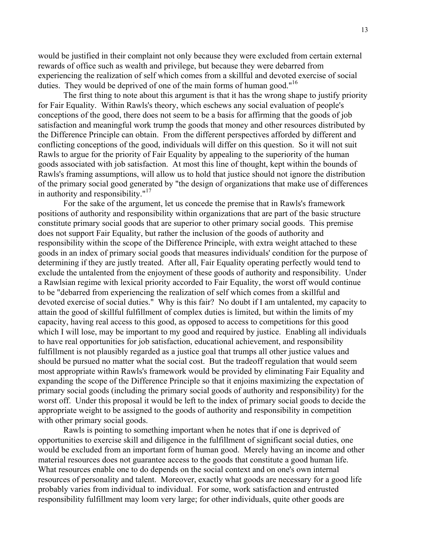would be justified in their complaint not only because they were excluded from certain external rewards of office such as wealth and privilege, but because they were debarred from experiencing the realization of self which comes from a skillful and devoted exercise of social duties. They would be deprived of one of the main forms of human good."<sup>16</sup>

The first thing to note about this argument is that it has the wrong shape to justify priority for Fair Equality. Within Rawls's theory, which eschews any social evaluation of people's conceptions of the good, there does not seem to be a basis for affirming that the goods of job satisfaction and meaningful work trump the goods that money and other resources distributed by the Difference Principle can obtain. From the different perspectives afforded by different and conflicting conceptions of the good, individuals will differ on this question. So it will not suit Rawls to argue for the priority of Fair Equality by appealing to the superiority of the human goods associated with job satisfaction. At most this line of thought, kept within the bounds of Rawls's framing assumptions, will allow us to hold that justice should not ignore the distribution of the primary social good generated by "the design of organizations that make use of differences in authority and responsibility. $17$ 

For the sake of the argument, let us concede the premise that in Rawls's framework positions of authority and responsibility within organizations that are part of the basic structure constitute primary social goods that are superior to other primary social goods. This premise does not support Fair Equality, but rather the inclusion of the goods of authority and responsibility within the scope of the Difference Principle, with extra weight attached to these goods in an index of primary social goods that measures individuals' condition for the purpose of determining if they are justly treated. After all, Fair Equality operating perfectly would tend to exclude the untalented from the enjoyment of these goods of authority and responsibility. Under a Rawlsian regime with lexical priority accorded to Fair Equality, the worst off would continue to be "debarred from experiencing the realization of self which comes from a skillful and devoted exercise of social duties." Why is this fair? No doubt if I am untalented, my capacity to attain the good of skillful fulfillment of complex duties is limited, but within the limits of my capacity, having real access to this good, as opposed to access to competitions for this good which I will lose, may be important to my good and required by justice. Enabling all individuals to have real opportunities for job satisfaction, educational achievement, and responsibility fulfillment is not plausibly regarded as a justice goal that trumps all other justice values and should be pursued no matter what the social cost. But the tradeoff regulation that would seem most appropriate within Rawls's framework would be provided by eliminating Fair Equality and expanding the scope of the Difference Principle so that it enjoins maximizing the expectation of primary social goods (including the primary social goods of authority and responsibility) for the worst off. Under this proposal it would be left to the index of primary social goods to decide the appropriate weight to be assigned to the goods of authority and responsibility in competition with other primary social goods.

Rawls is pointing to something important when he notes that if one is deprived of opportunities to exercise skill and diligence in the fulfillment of significant social duties, one would be excluded from an important form of human good. Merely having an income and other material resources does not guarantee access to the goods that constitute a good human life. What resources enable one to do depends on the social context and on one's own internal resources of personality and talent. Moreover, exactly what goods are necessary for a good life probably varies from individual to individual. For some, work satisfaction and entrusted responsibility fulfillment may loom very large; for other individuals, quite other goods are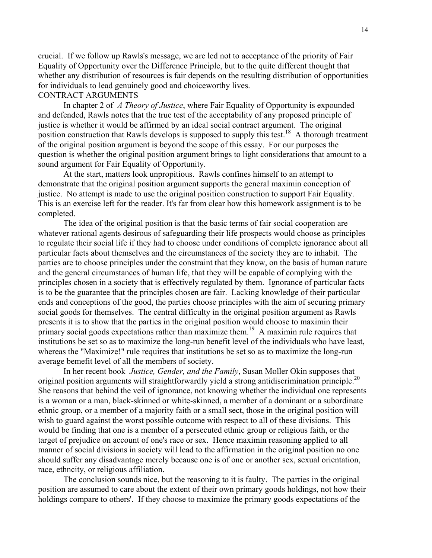crucial. If we follow up Rawls's message, we are led not to acceptance of the priority of Fair Equality of Opportunity over the Difference Principle, but to the quite different thought that whether any distribution of resources is fair depends on the resulting distribution of opportunities for individuals to lead genuinely good and choiceworthy lives.

### CONTRACT ARGUMENTS

In chapter 2 of *A Theory of Justice*, where Fair Equality of Opportunity is expounded and defended, Rawls notes that the true test of the acceptability of any proposed principle of justice is whether it would be affirmed by an ideal social contract argument. The original position construction that Rawls develops is supposed to supply this test.<sup>18</sup> A thorough treatment of the original position argument is beyond the scope of this essay. For our purposes the question is whether the original position argument brings to light considerations that amount to a sound argument for Fair Equality of Opportunity.

At the start, matters look unpropitious. Rawls confines himself to an attempt to demonstrate that the original position argument supports the general maximin conception of justice. No attempt is made to use the original position construction to support Fair Equality. This is an exercise left for the reader. It's far from clear how this homework assignment is to be completed.

The idea of the original position is that the basic terms of fair social cooperation are whatever rational agents desirous of safeguarding their life prospects would choose as principles to regulate their social life if they had to choose under conditions of complete ignorance about all particular facts about themselves and the circumstances of the society they are to inhabit. The parties are to choose principles under the constraint that they know, on the basis of human nature and the general circumstances of human life, that they will be capable of complying with the principles chosen in a society that is effectively regulated by them. Ignorance of particular facts is to be the guarantee that the principles chosen are fair. Lacking knowledge of their particular ends and conceptions of the good, the parties choose principles with the aim of securing primary social goods for themselves. The central difficulty in the original position argument as Rawls presents it is to show that the parties in the original position would choose to maximin their primary social goods expectations rather than maximize them.<sup>19</sup> A maximin rule requires that institutions be set so as to maximize the long-run benefit level of the individuals who have least, whereas the "Maximize!" rule requires that institutions be set so as to maximize the long-run average bemefit level of all the members of society.

In her recent book *Justice, Gender, and the Family*, Susan Moller Okin supposes that original position arguments will straightforwardly yield a strong antidiscrimination principle.<sup>20</sup> She reasons that behind the veil of ignorance, not knowing whether the individual one represents is a woman or a man, black-skinned or white-skinned, a member of a dominant or a subordinate ethnic group, or a member of a majority faith or a small sect, those in the original position will wish to guard against the worst possible outcome with respect to all of these divisions. This would be finding that one is a member of a persecuted ethnic group or religious faith, or the target of prejudice on account of one's race or sex. Hence maximin reasoning applied to all manner of social divisions in society will lead to the affirmation in the original position no one should suffer any disadvantage merely because one is of one or another sex, sexual orientation, race, ethncity, or religious affiliation.

The conclusion sounds nice, but the reasoning to it is faulty. The parties in the original position are assumed to care about the extent of their own primary goods holdings, not how their holdings compare to others'. If they choose to maximize the primary goods expectations of the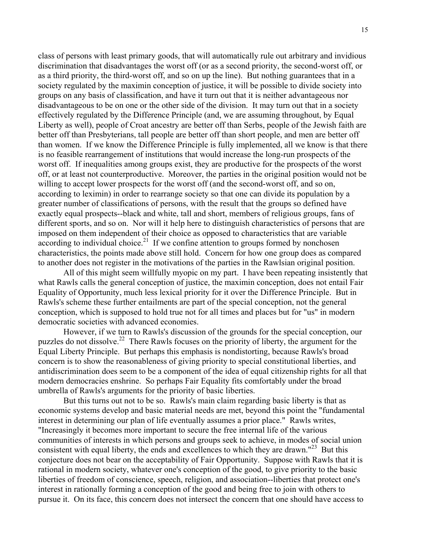class of persons with least primary goods, that will automatically rule out arbitrary and invidious discrimination that disadvantages the worst off (or as a second priority, the second-worst off, or as a third priority, the third-worst off, and so on up the line). But nothing guarantees that in a society regulated by the maximin conception of justice, it will be possible to divide society into groups on any basis of classification, and have it turn out that it is neither advantageous nor disadvantageous to be on one or the other side of the division. It may turn out that in a society effectively regulated by the Difference Principle (and, we are assuming throughout, by Equal Liberty as well), people of Croat ancestry are better off than Serbs, people of the Jewish faith are better off than Presbyterians, tall people are better off than short people, and men are better off than women. If we know the Difference Principle is fully implemented, all we know is that there is no feasible rearrangement of institutions that would increase the long-run prospects of the worst off. If inequalities among groups exist, they are productive for the prospects of the worst off, or at least not counterproductive. Moreover, the parties in the original position would not be willing to accept lower prospects for the worst off (and the second-worst off, and so on, according to leximin) in order to rearrange society so that one can divide its population by a greater number of classifications of persons, with the result that the groups so defined have exactly equal prospects--black and white, tall and short, members of religious groups, fans of different sports, and so on. Nor will it help here to distinguish characteristics of persons that are imposed on them independent of their choice as opposed to characteristics that are variable according to individual choice.<sup>21</sup> If we confine attention to groups formed by nonchosen characteristics, the points made above still hold. Concern for how one group does as compared to another does not register in the motivations of the parties in the Rawlsian original position.

All of this might seem willfully myopic on my part. I have been repeating insistently that what Rawls calls the general conception of justice, the maximin conception, does not entail Fair Equality of Opportunity, much less lexical priority for it over the Difference Principle. But in Rawls's scheme these further entailments are part of the special conception, not the general conception, which is supposed to hold true not for all times and places but for "us" in modern democratic societies with advanced economies.

However, if we turn to Rawls's discussion of the grounds for the special conception, our puzzles do not dissolve.22 There Rawls focuses on the priority of liberty, the argument for the Equal Liberty Principle. But perhaps this emphasis is nondistorting, because Rawls's broad concern is to show the reasonableness of giving priority to special constitutional liberties, and antidiscrimination does seem to be a component of the idea of equal citizenship rights for all that modern democracies enshrine. So perhaps Fair Equality fits comfortably under the broad umbrella of Rawls's arguments for the priority of basic liberties.

But this turns out not to be so. Rawls's main claim regarding basic liberty is that as economic systems develop and basic material needs are met, beyond this point the "fundamental interest in determining our plan of life eventually assumes a prior place." Rawls writes, "Increasingly it becomes more important to secure the free internal life of the various communities of interests in which persons and groups seek to achieve, in modes of social union consistent with equal liberty, the ends and excellences to which they are drawn."<sup>23</sup> But this conjecture does not bear on the acceptability of Fair Opportunity. Suppose with Rawls that it is rational in modern society, whatever one's conception of the good, to give priority to the basic liberties of freedom of conscience, speech, religion, and association--liberties that protect one's interest in rationally forming a conception of the good and being free to join with others to pursue it. On its face, this concern does not intersect the concern that one should have access to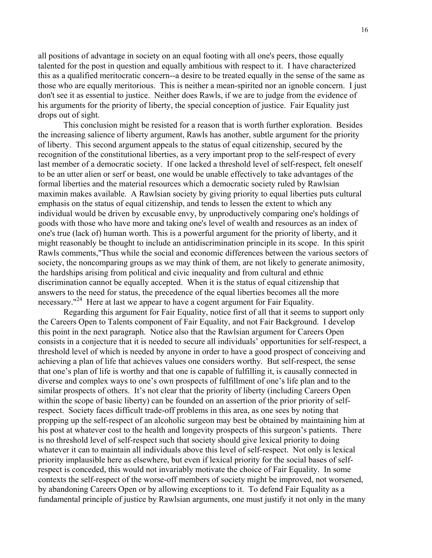all positions of advantage in society on an equal footing with all one's peers, those equally talented for the post in question and equally ambitious with respect to it. I have characterized this as a qualified meritocratic concern--a desire to be treated equally in the sense of the same as those who are equally meritorious. This is neither a mean-spirited nor an ignoble concern. I just don't see it as essential to justice. Neither does Rawls, if we are to judge from the evidence of his arguments for the priority of liberty, the special conception of justice. Fair Equality just drops out of sight.

This conclusion might be resisted for a reason that is worth further exploration. Besides the increasing salience of liberty argument, Rawls has another, subtle argument for the priority of liberty. This second argument appeals to the status of equal citizenship, secured by the recognition of the constitutional liberties, as a very important prop to the self-respect of every last member of a democratic society. If one lacked a threshold level of self-respect, felt oneself to be an utter alien or serf or beast, one would be unable effectively to take advantages of the formal liberties and the material resources which a democratic society ruled by Rawlsian maximin makes available. A Rawlsian society by giving priority to equal liberties puts cultural emphasis on the status of equal citizenship, and tends to lessen the extent to which any individual would be driven by excusable envy, by unproductively comparing one's holdings of goods with those who have more and taking one's level of wealth and resources as an index of one's true (lack of) human worth. This is a powerful argument for the priority of liberty, and it might reasonably be thought to include an antidiscrimination principle in its scope. In this spirit Rawls comments,"Thus while the social and economic differences between the various sectors of society, the noncomparing groups as we may think of them, are not likely to generate animosity, the hardships arising from political and civic inequality and from cultural and ethnic discrimination cannot be equally accepted. When it is the status of equal citizenship that answers to the need for status, the precedence of the equal liberties becomes all the more necessary."<sup>24</sup> Here at last we appear to have a cogent argument for Fair Equality.

Regarding this argument for Fair Equality, notice first of all that it seems to support only the Careers Open to Talents component of Fair Equality, and not Fair Background. I develop this point in the next paragraph. Notice also that the Rawlsian argument for Careers Open consists in a conjecture that it is needed to secure all individuals' opportunities for self-respect, a threshold level of which is needed by anyone in order to have a good prospect of conceiving and achieving a plan of life that achieves values one considers worthy. But self-respect, the sense that one's plan of life is worthy and that one is capable of fulfilling it, is causally connected in diverse and complex ways to one's own prospects of fulfillment of one's life plan and to the similar prospects of others. It's not clear that the priority of liberty (including Careers Open within the scope of basic liberty) can be founded on an assertion of the prior priority of selfrespect. Society faces difficult trade-off problems in this area, as one sees by noting that propping up the self-respect of an alcoholic surgeon may best be obtained by maintaining him at his post at whatever cost to the health and longevity prospects of this surgeon's patients. There is no threshold level of self-respect such that society should give lexical priority to doing whatever it can to maintain all individuals above this level of self-respect. Not only is lexical priority implausible here as elsewhere, but even if lexical priority for the social bases of selfrespect is conceded, this would not invariably motivate the choice of Fair Equality. In some contexts the self-respect of the worse-off members of society might be improved, not worsened, by abandoning Careers Open or by allowing exceptions to it. To defend Fair Equality as a fundamental principle of justice by Rawlsian arguments, one must justify it not only in the many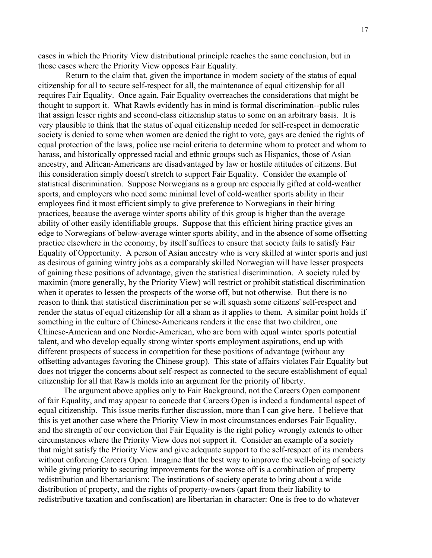cases in which the Priority View distributional principle reaches the same conclusion, but in those cases where the Priority View opposes Fair Equality.

 Return to the claim that, given the importance in modern society of the status of equal citizenship for all to secure self-respect for all, the maintenance of equal citizenship for all requires Fair Equality. Once again, Fair Equality overreaches the considerations that might be thought to support it. What Rawls evidently has in mind is formal discrimination--public rules that assign lesser rights and second-class citizenship status to some on an arbitrary basis. It is very plausible to think that the status of equal citizenship needed for self-respect in democratic society is denied to some when women are denied the right to vote, gays are denied the rights of equal protection of the laws, police use racial criteria to determine whom to protect and whom to harass, and historically oppressed racial and ethnic groups such as Hispanics, those of Asian ancestry, and African-Americans are disadvantaged by law or hostile attitudes of citizens. But this consideration simply doesn't stretch to support Fair Equality. Consider the example of statistical discrimination. Suppose Norwegians as a group are especially gifted at cold-weather sports, and employers who need some minimal level of cold-weather sports ability in their employees find it most efficient simply to give preference to Norwegians in their hiring practices, because the average winter sports ability of this group is higher than the average ability of other easily identifiable groups. Suppose that this efficient hiring practice gives an edge to Norwegians of below-average winter sports ability, and in the absence of some offsetting practice elsewhere in the economy, by itself suffices to ensure that society fails to satisfy Fair Equality of Opportunity. A person of Asian ancestry who is very skilled at winter sports and just as desirous of gaining wintry jobs as a comparably skilled Norwegian will have lesser prospects of gaining these positions of advantage, given the statistical discrimination. A society ruled by maximin (more generally, by the Priority View) will restrict or prohibit statistical discrimination when it operates to lessen the prospects of the worse off, but not otherwise. But there is no reason to think that statistical discrimination per se will squash some citizens' self-respect and render the status of equal citizenship for all a sham as it applies to them. A similar point holds if something in the culture of Chinese-Americans renders it the case that two children, one Chinese-American and one Nordic-American, who are born with equal winter sports potential talent, and who develop equally strong winter sports employment aspirations, end up with different prospects of success in competition for these positions of advantage (without any offsetting advantages favoring the Chinese group). This state of affairs violates Fair Equality but does not trigger the concerns about self-respect as connected to the secure establishment of equal citizenship for all that Rawls molds into an argument for the priority of liberty.

The argument above applies only to Fair Background, not the Careers Open component of fair Equality, and may appear to concede that Careers Open is indeed a fundamental aspect of equal citizenship. This issue merits further discussion, more than I can give here. I believe that this is yet another case where the Priority View in most circumstances endorses Fair Equality, and the strength of our conviction that Fair Equality is the right policy wrongly extends to other circumstances where the Priority View does not support it. Consider an example of a society that might satisfy the Priority View and give adequate support to the self-respect of its members without enforcing Careers Open. Imagine that the best way to improve the well-being of society while giving priority to securing improvements for the worse off is a combination of property redistribution and libertarianism: The institutions of society operate to bring about a wide distribution of property, and the rights of property-owners (apart from their liability to redistributive taxation and confiscation) are libertarian in character: One is free to do whatever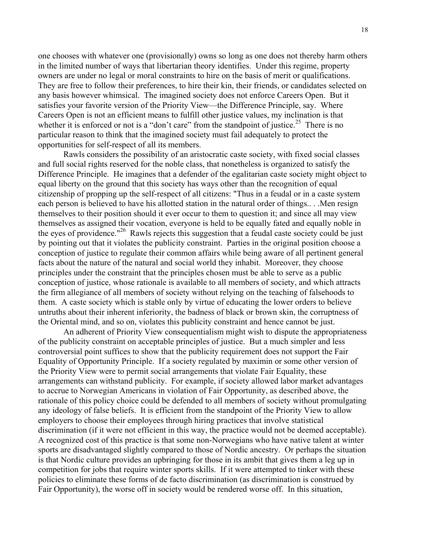one chooses with whatever one (provisionally) owns so long as one does not thereby harm others in the limited number of ways that libertarian theory identifies. Under this regime, property owners are under no legal or moral constraints to hire on the basis of merit or qualifications. They are free to follow their preferences, to hire their kin, their friends, or candidates selected on any basis however whimsical. The imagined society does not enforce Careers Open. But it satisfies your favorite version of the Priority View—the Difference Principle, say. Where Careers Open is not an efficient means to fulfill other justice values, my inclination is that whether it is enforced or not is a "don't care" from the standpoint of justice.<sup>25</sup> There is no particular reason to think that the imagined society must fail adequately to protect the opportunities for self-respect of all its members.

Rawls considers the possibility of an aristocratic caste society, with fixed social classes and full social rights reserved for the noble class, that nonetheless is organized to satisfy the Difference Principle. He imagines that a defender of the egalitarian caste society might object to equal liberty on the ground that this society has ways other than the recognition of equal citizenship of propping up the self-respect of all citizens: "Thus in a feudal or in a caste system each person is believed to have his allotted station in the natural order of things.. . .Men resign themselves to their position should it ever occur to them to question it; and since all may view themselves as assigned their vocation, everyone is held to be equally fated and equally noble in the eyes of providence."<sup>26</sup> Rawls rejects this suggestion that a feudal caste society could be just by pointing out that it violates the publicity constraint. Parties in the original position choose a conception of justice to regulate their common affairs while being aware of all pertinent general facts about the nature of the natural and social world they inhabit. Moreover, they choose principles under the constraint that the principles chosen must be able to serve as a public conception of justice, whose rationale is available to all members of society, and which attracts the firm allegiance of all members of society without relying on the teaching of falsehoods to them. A caste society which is stable only by virtue of educating the lower orders to believe untruths about their inherent inferiority, the badness of black or brown skin, the corruptness of the Oriental mind, and so on, violates this publicity constraint and hence cannot be just.

An adherent of Priority View consequentialism might wish to dispute the appropriateness of the publicity constraint on acceptable principles of justice. But a much simpler and less controversial point suffices to show that the publicity requirement does not support the Fair Equality of Opportunity Principle. If a society regulated by maximin or some other version of the Priority View were to permit social arrangements that violate Fair Equality, these arrangements can withstand publicity. For example, if society allowed labor market advantages to accrue to Norwegian Americans in violation of Fair Opportunity, as described above, the rationale of this policy choice could be defended to all members of society without promulgating any ideology of false beliefs. It is efficient from the standpoint of the Priority View to allow employers to choose their employees through hiring practices that involve statistical discrimination (if it were not efficient in this way, the practice would not be deemed acceptable). A recognized cost of this practice is that some non-Norwegians who have native talent at winter sports are disadvantaged slightly compared to those of Nordic ancestry. Or perhaps the situation is that Nordic culture provides an upbringing for those in its ambit that gives them a leg up in competition for jobs that require winter sports skills. If it were attempted to tinker with these policies to eliminate these forms of de facto discrimination (as discrimination is construed by Fair Opportunity), the worse off in society would be rendered worse off. In this situation,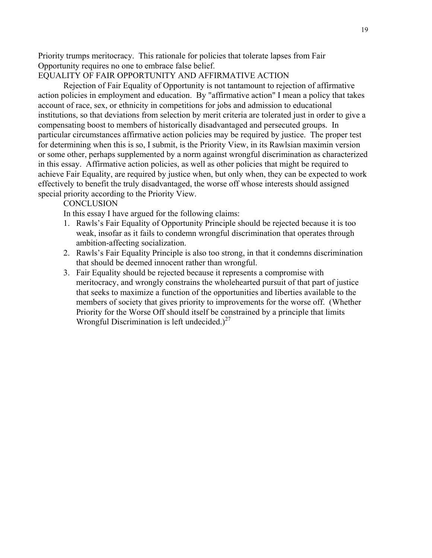Priority trumps meritocracy. This rationale for policies that tolerate lapses from Fair Opportunity requires no one to embrace false belief.

## EQUALITY OF FAIR OPPORTUNITY AND AFFIRMATIVE ACTION

Rejection of Fair Equality of Opportunity is not tantamount to rejection of affirmative action policies in employment and education. By "affirmative action" I mean a policy that takes account of race, sex, or ethnicity in competitions for jobs and admission to educational institutions, so that deviations from selection by merit criteria are tolerated just in order to give a compensating boost to members of historically disadvantaged and persecuted groups. In particular circumstances affirmative action policies may be required by justice. The proper test for determining when this is so, I submit, is the Priority View, in its Rawlsian maximin version or some other, perhaps supplemented by a norm against wrongful discrimination as characterized in this essay. Affirmative action policies, as well as other policies that might be required to achieve Fair Equality, are required by justice when, but only when, they can be expected to work effectively to benefit the truly disadvantaged, the worse off whose interests should assigned special priority according to the Priority View.

#### **CONCLUSION**

In this essay I have argued for the following claims:

- 1. Rawls's Fair Equality of Opportunity Principle should be rejected because it is too weak, insofar as it fails to condemn wrongful discrimination that operates through ambition-affecting socialization.
- 2. Rawls's Fair Equality Principle is also too strong, in that it condemns discrimination that should be deemed innocent rather than wrongful.
- 3. Fair Equality should be rejected because it represents a compromise with meritocracy, and wrongly constrains the wholehearted pursuit of that part of justice that seeks to maximize a function of the opportunities and liberties available to the members of society that gives priority to improvements for the worse off. (Whether Priority for the Worse Off should itself be constrained by a principle that limits Wrongful Discrimination is left undecided.) $27$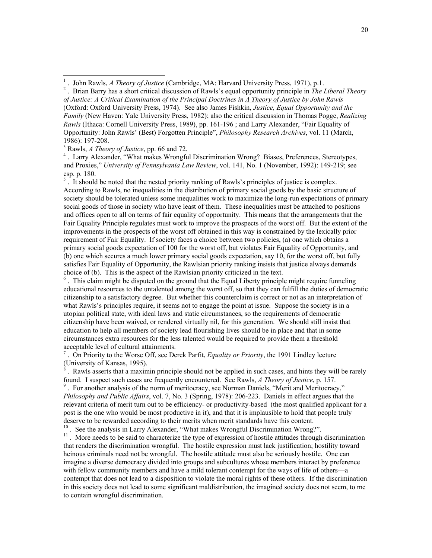*of Justice: A Critical Examination of the Principal Doctrines in A Theory of Justice by John Rawls* (Oxford: Oxford University Press, 1974). See also James Fishkin, *Justice, Equal Opportunity and the Family* (New Haven: Yale University Press, 1982); also the critical discussion in Thomas Pogge, *Realizing Rawls* (Ithaca: Cornell University Press, 1989), pp. 161-196 ; and Larry Alexander, "Fair Equality of Opportunity: John Rawls' (Best) Forgotten Principle", *Philosophy Research Archives*, vol. 11 (March, 1986): 197-208.

3 Rawls, *A Theory of Justice*, pp. 66 and 72.

<sup>4</sup>. Larry Alexander, "What makes Wrongful Discrimination Wrong? Biases, Preferences, Stereotypes, and Proxies," *University of Pennsylvania Law Review*, vol. 141, No. 1 (November, 1992): 149-219; see esp. p. 180.

 $<sup>5</sup>$ . It should be noted that the nested priority ranking of Rawls's principles of justice is complex.</sup> According to Rawls, no inequalities in the distribution of primary social goods by the basic structure of society should be tolerated unless some inequalities work to maximize the long-run expectations of primary social goods of those in society who have least of them. These inequalities must be attached to positions and offices open to all on terms of fair equality of opportunity. This means that the arrangements that the Fair Equality Principle regulates must work to improve the prospects of the worst off. But the extent of the improvements in the prospects of the worst off obtained in this way is constrained by the lexically prior requirement of Fair Equality. If society faces a choice between two policies, (a) one which obtains a primary social goods expectation of 100 for the worst off, but violates Fair Equality of Opportunity, and (b) one which secures a much lower primary social goods expectation, say 10, for the worst off, but fully satisfies Fair Equality of Opportunity, the Rawlsian priority ranking insists that justice always demands choice of (b). This is the aspect of the Rawlsian priority criticized in the text.

<sup>6</sup>. This claim might be disputed on the ground that the Equal Liberty principle might require funneling educational resources to the untalented among the worst off, so that they can fulfill the duties of democratic citizenship to a satisfactory degree. But whether this counterclaim is correct or not as an interpretation of what Rawls's principles require, it seems not to engage the point at issue. Suppose the society is in a utopian political state, with ideal laws and static circumstances, so the requirements of democratic citizenship have been waived, or rendered virtually nil, for this generation. We should still insist that education to help all members of society lead flourishing lives should be in place and that in some circumstances extra resources for the less talented would be required to provide them a threshold acceptable level of cultural attainments.

7 . On Priority to the Worse Off, see Derek Parfit, *Equality or Priority*, the 1991 Lindley lecture (University of Kansas, 1995).

8 . Rawls asserts that a maximin principle should not be applied in such cases, and hints they will be rarely found. I suspect such cases are frequently encountered. See Rawls, *A Theory of Justice*, p. 157.

<sup>9</sup>. For another analysis of the norm of meritocracy, see Norman Daniels, "Merit and Meritocracy," *Philosophy and Public Affairs*, vol. 7, No. 3 (Spring, 1978): 206-223. Daniels in effect argues that the relevant criteria of merit turn out to be efficiency- or productivity-based (the most qualified applicant for a post is the one who would be most productive in it), and that it is implausible to hold that people truly deserve to be rewarded according to their merits when merit standards have this content.

<sup>10</sup>. See the analysis in Larry Alexander, "What makes Wrongful Discrimination Wrong?".

<sup>11</sup>. More needs to be said to characterize the type of expression of hostile attitudes through discrimination that renders the discrimination wrongful. The hostile expression must lack justification; hostility toward heinous criminals need not be wrongful. The hostile attitude must also be seriously hostile. One can imagine a diverse democracy divided into groups and subcultures whose members interact by preference with fellow community members and have a mild tolerant contempt for the ways of life of others—a contempt that does not lead to a disposition to violate the moral rights of these others. If the discrimination in this society does not lead to some significant maldistribution, the imagined society does not seem, to me to contain wrongful discrimination.

 1 . John Rawls, *A Theory of Justice* (Cambridge, MA: Harvard University Press, 1971), p.1.

<sup>2</sup> . Brian Barry has a short critical discussion of Rawls's equal opportunity principle in *The Liberal Theory*